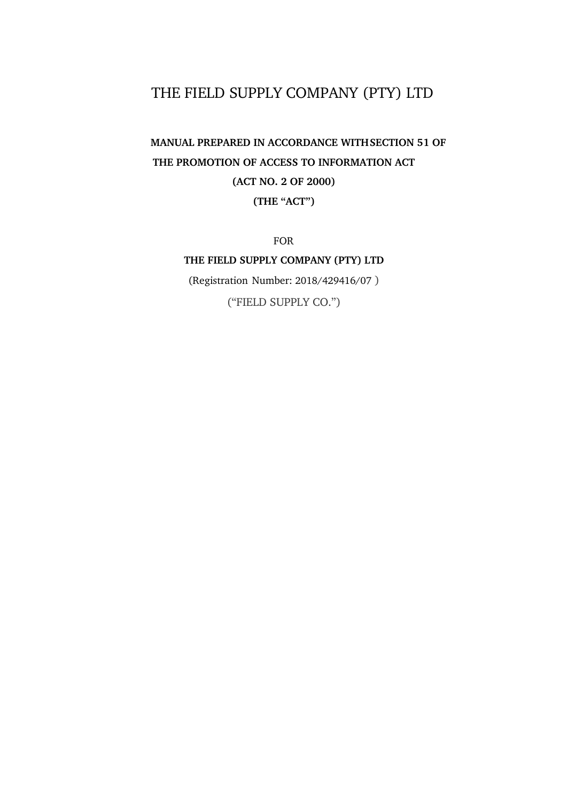# THE FIELD SUPPLY COMPANY (PTY) LTD

# **MANUAL PREPARED IN ACCORDANCE WITH SECTION 51 OF THE PROMOTION OF ACCESS TO INFORMATION ACT (ACT NO. 2 OF 2000) (THE "ACT")**

FOR

# **THE FIELD SUPPLY COMPANY (PTY) LTD**

(Registration Number: 2018/429416/07 )

("FIELD SUPPLY CO.")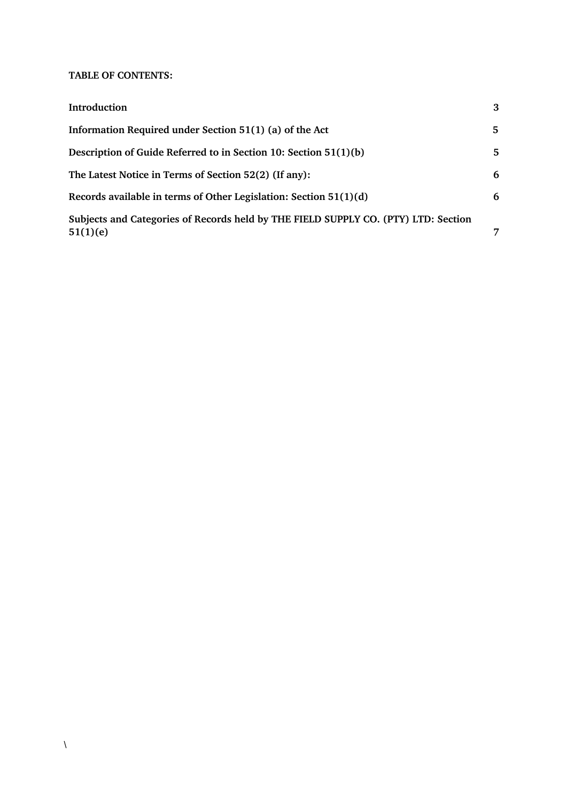# **TABLE OF CONTENTS:**

| Introduction                                                                                   | 3 |
|------------------------------------------------------------------------------------------------|---|
| Information Required under Section 51(1) (a) of the Act                                        | 5 |
| Description of Guide Referred to in Section 10: Section 51(1)(b)                               | 5 |
| The Latest Notice in Terms of Section 52(2) (If any):                                          | 6 |
| Records available in terms of Other Legislation: Section 51(1)(d)                              | 6 |
| Subjects and Categories of Records held by THE FIELD SUPPLY CO. (PTY) LTD: Section<br>51(1)(e) | 7 |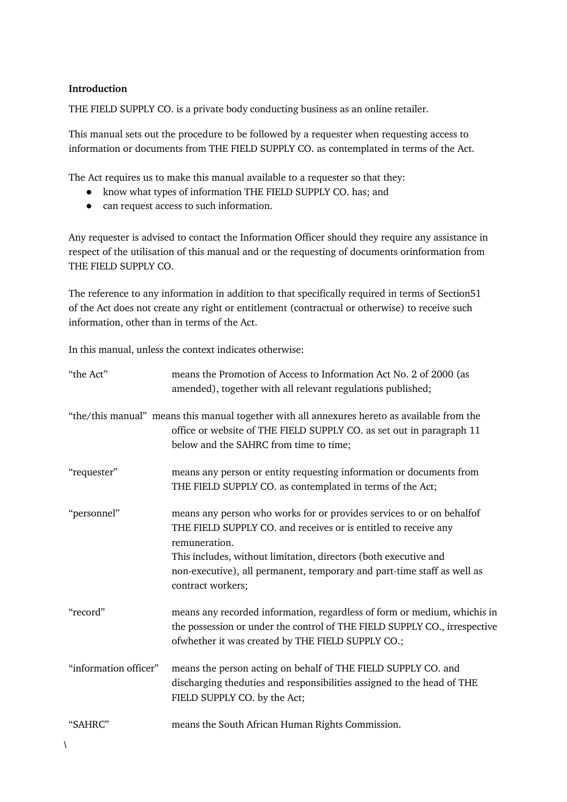#### **Introduction**

THE FIELD SUPPLY CO. is a private body conducting business as an online retailer.

This manual sets out the procedure to be followed by a requester when requesting access to information or documents from THE FIELD SUPPLY CO. as contemplated in terms of the Act.

The Act requires us to make this manual available to a requester so that they:

- know what types of information THE FIELD SUPPLY CO. has; and
- can request access to such information.

Any requester is advised to contact the Information Officer should they require any assistance in respect of the utilisation of this manual and or the requesting of documents orinformation from THE FIELD SUPPLY CO.

The reference to any information in addition to that specifically required in terms of Section51 of the Act does not create any right or entitlement (contractual or otherwise) to receive such information, other than in terms of the Act.

In this manual, unless the context indicates otherwise:

| "the Act"             | means the Promotion of Access to Information Act No. 2 of 2000 (as<br>amended), together with all relevant regulations published;                                                                                                                                                                                             |  |
|-----------------------|-------------------------------------------------------------------------------------------------------------------------------------------------------------------------------------------------------------------------------------------------------------------------------------------------------------------------------|--|
|                       | "the/this manual" means this manual together with all annexures hereto as available from the<br>office or website of THE FIELD SUPPLY CO. as set out in paragraph 11<br>below and the SAHRC from time to time;                                                                                                                |  |
| "requester"           | means any person or entity requesting information or documents from<br>THE FIELD SUPPLY CO. as contemplated in terms of the Act;                                                                                                                                                                                              |  |
| "personnel"           | means any person who works for or provides services to or on behalfof<br>THE FIELD SUPPLY CO. and receives or is entitled to receive any<br>remuneration.<br>This includes, without limitation, directors (both executive and<br>non-executive), all permanent, temporary and part-time staff as well as<br>contract workers; |  |
| "record"              | means any recorded information, regardless of form or medium, whichis in<br>the possession or under the control of THE FIELD SUPPLY CO., irrespective<br>ofwhether it was created by THE FIELD SUPPLY CO.;                                                                                                                    |  |
| "information officer" | means the person acting on behalf of THE FIELD SUPPLY CO. and<br>discharging theduties and responsibilities assigned to the head of THE<br>FIELD SUPPLY CO. by the Act;                                                                                                                                                       |  |
| "SAHRC"               | means the South African Human Rights Commission.                                                                                                                                                                                                                                                                              |  |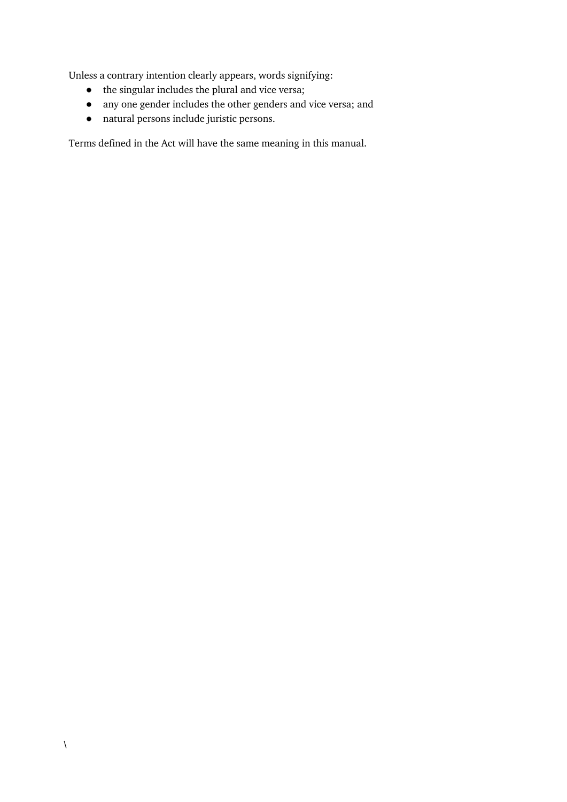Unless a contrary intention clearly appears, words signifying:

- the singular includes the plural and vice versa;
- any one gender includes the other genders and vice versa; and
- natural persons include juristic persons.

Terms defined in the Act will have the same meaning in this manual.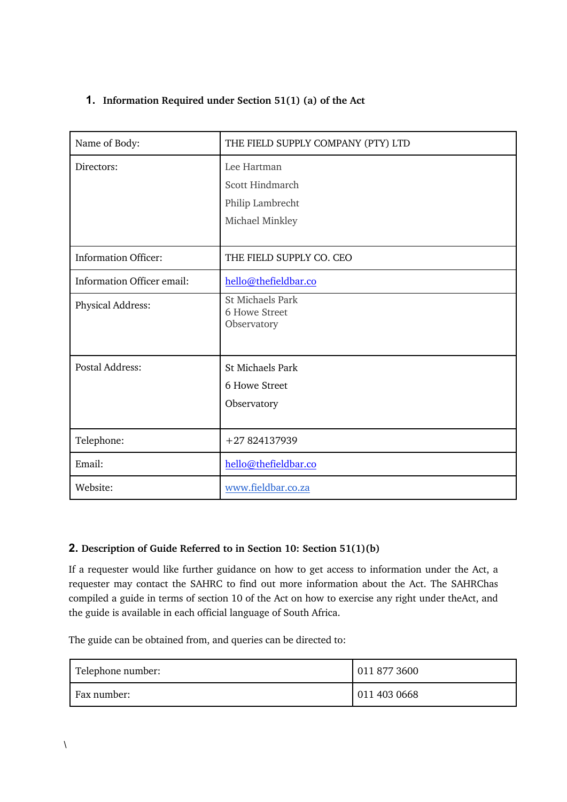# **1. Information Required under Section 51(1) (a) of the Act**

| Name of Body:               | THE FIELD SUPPLY COMPANY (PTY) LTD                                    |
|-----------------------------|-----------------------------------------------------------------------|
| Directors:                  | Lee Hartman<br>Scott Hindmarch<br>Philip Lambrecht<br>Michael Minkley |
| <b>Information Officer:</b> | THE FIELD SUPPLY CO. CEO                                              |
| Information Officer email:  | hello@thefieldbar.co                                                  |
| Physical Address:           | <b>St Michaels Park</b><br>6 Howe Street<br>Observatory               |
| <b>Postal Address:</b>      | <b>St Michaels Park</b><br>6 Howe Street<br>Observatory               |
| Telephone:                  | +27 824137939                                                         |
| Email:                      | hello@thefieldbar.co                                                  |
| Website:                    | www.fieldbar.co.za                                                    |

# **2. Description of Guide Referred to in Section 10: Section 51(1)(b)**

If a requester would like further guidance on how to get access to information under the Act, a requester may contact the SAHRC to find out more information about the Act. The SAHRChas compiled a guide in terms of section 10 of the Act on how to exercise any right under theAct, and the guide is available in each official language of South Africa.

The guide can be obtained from, and queries can be directed to:

| Telephone number: | 011 877 3600 |
|-------------------|--------------|
| Fax number:       | 011 403 0668 |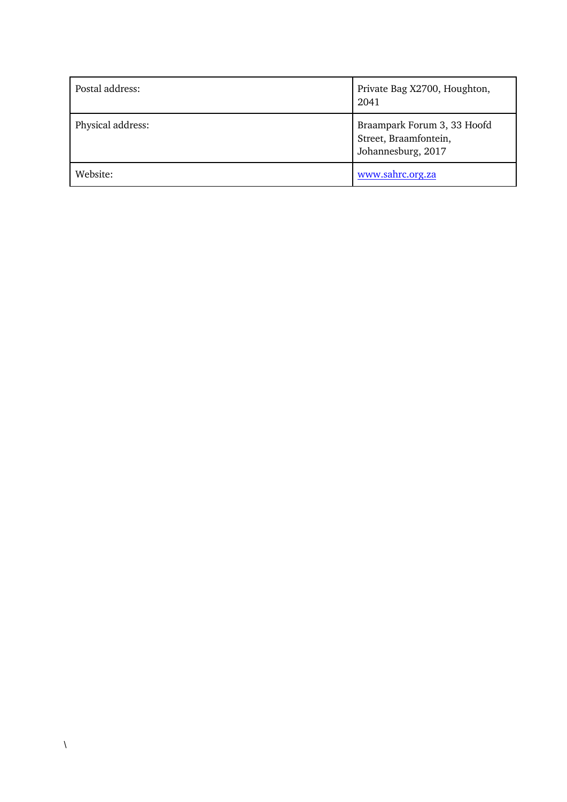| Postal address:   | Private Bag X2700, Houghton,<br>2041                                       |
|-------------------|----------------------------------------------------------------------------|
| Physical address: | Braampark Forum 3, 33 Hoofd<br>Street, Braamfontein,<br>Johannesburg, 2017 |
| Website:          | www.sahrc.org.za                                                           |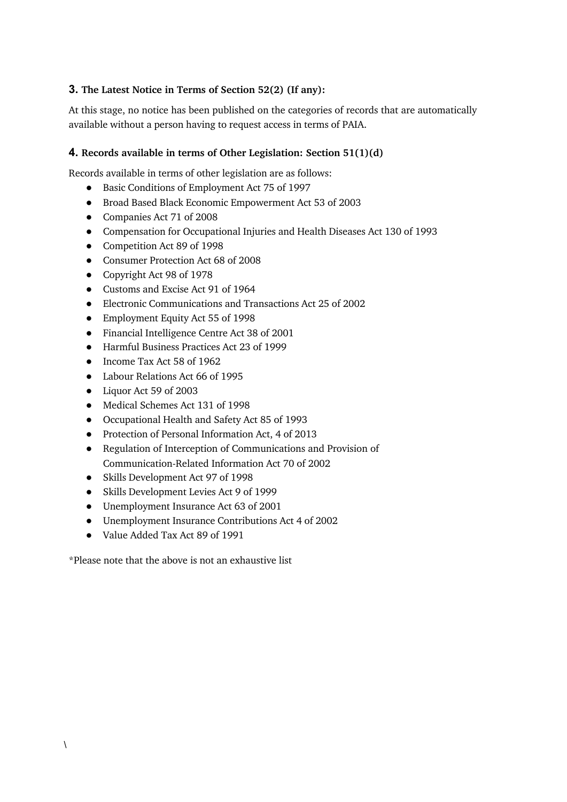# **3. The Latest Notice in Terms of Section 52(2) (If any):**

At this stage, no notice has been published on the categories of records that are automatically available without a person having to request access in terms of PAIA.

## **4. Records available in terms of Other Legislation: Section 51(1)(d)**

Records available in terms of other legislation are as follows:

- Basic Conditions of Employment Act 75 of 1997
- Broad Based Black Economic Empowerment Act 53 of 2003
- Companies Act 71 of 2008
- Compensation for Occupational Injuries and Health Diseases Act 130 of 1993
- Competition Act 89 of 1998
- Consumer Protection Act 68 of 2008
- Copyright Act 98 of 1978
- Customs and Excise Act 91 of 1964
- Electronic Communications and Transactions Act 25 of 2002
- Employment Equity Act 55 of 1998
- Financial Intelligence Centre Act 38 of 2001
- Harmful Business Practices Act 23 of 1999
- Income Tax Act 58 of 1962
- Labour Relations Act 66 of 1995
- Liquor Act 59 of 2003
- Medical Schemes Act 131 of 1998
- Occupational Health and Safety Act 85 of 1993
- Protection of Personal Information Act, 4 of 2013
- Regulation of Interception of Communications and Provision of Communication-Related Information Act 70 of 2002
- Skills Development Act 97 of 1998
- Skills Development Levies Act 9 of 1999
- Unemployment Insurance Act 63 of 2001
- Unemployment Insurance Contributions Act 4 of 2002
- Value Added Tax Act 89 of 1991

\*Please note that the above is not an exhaustive list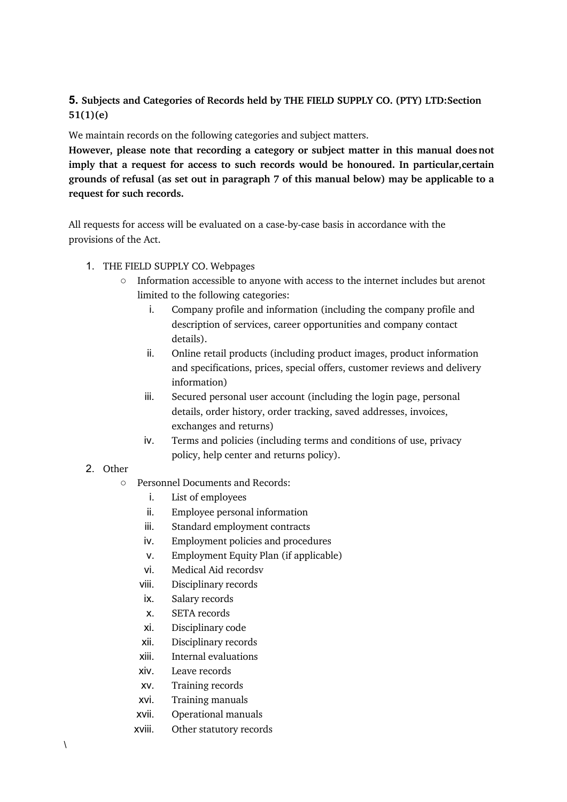# **5. Subjects and Categories of Records held by THE FIELD SUPPLY CO. (PTY) LTD:Section 51(1)(e)**

We maintain records on the following categories and subject matters.

**However, please note that recording a category or subject matter in this manual does not imply that a request for access to such records would be honoured. In particular,certain grounds of refusal (as set out in paragraph 7 of this manual below) may be applicable to a request for such records.**

All requests for access will be evaluated on a case-by-case basis in accordance with the provisions of the Act.

- 1. THE FIELD SUPPLY CO. Webpages
	- Information accessible to anyone with access to the internet includes but arenot limited to the following categories:
		- i. Company profile and information (including the company profile and description of services, career opportunities and company contact details).
		- ii. Online retail products (including product images, product information and specifications, prices, special offers, customer reviews and delivery information)
		- iii. Secured personal user account (including the login page, personal details, order history, order tracking, saved addresses, invoices, exchanges and returns)
		- iv. Terms and policies (including terms and conditions of use, privacy policy, help center and returns policy).
- 2. Other
	- Personnel Documents and Records:
		- i. List of employees
		- ii. Employee personal information
		- iii. Standard employment contracts
		- iv. Employment policies and procedures
		- v. Employment Equity Plan (if applicable)
		- vi. Medical Aid recordsv
		- viii. Disciplinary records
		- ix. Salary records
		- x. SETA records
		- xi. Disciplinary code
		- xii. Disciplinary records
		- xiii. Internal evaluations
		- xiv. Leave records
		- xv. Training records
		- xvi. Training manuals
		- xvii. Operational manuals
		- xviii. Other statutory records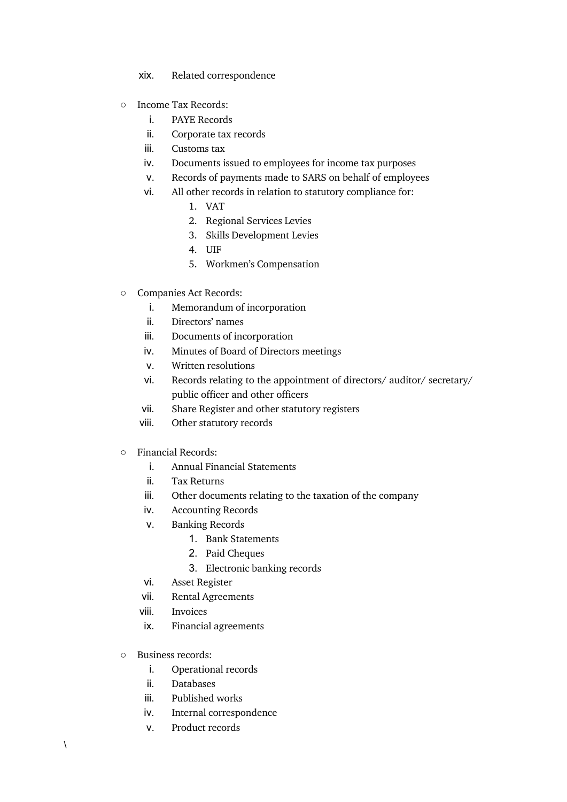- xix. Related correspondence
- Income Tax Records:
	- i. PAYE Records
	- ii. Corporate tax records
	- iii. Customs tax
	- iv. Documents issued to employees for income tax purposes
	- v. Records of payments made to SARS on behalf of employees
	- vi. All other records in relation to statutory compliance for:
		- 1. VAT
		- 2. Regional Services Levies
		- 3. Skills Development Levies
		- 4. UIF
		- 5. Workmen's Compensation
- Companies Act Records:
	- i. Memorandum of incorporation
	- ii. Directors' names
	- iii. Documents of incorporation
	- iv. Minutes of Board of Directors meetings
	- v. Written resolutions
	- vi. Records relating to the appointment of directors/ auditor/ secretary/ public officer and other officers
	- vii. Share Register and other statutory registers
	- viii. Other statutory records
- Financial Records:
	- i. Annual Financial Statements
	- ii. Tax Returns
	- iii. Other documents relating to the taxation of the company
	- iv. Accounting Records
	- v. Banking Records
		- 1. Bank Statements
		- 2. Paid Cheques
		- 3. Electronic banking records
	- vi. Asset Register
	- vii. Rental Agreements
	- viii. Invoices
	- ix. Financial agreements
- Business records:
	- i. Operational records
	- ii. Databases
	- iii. Published works
	- iv. Internal correspondence
	- v. Product records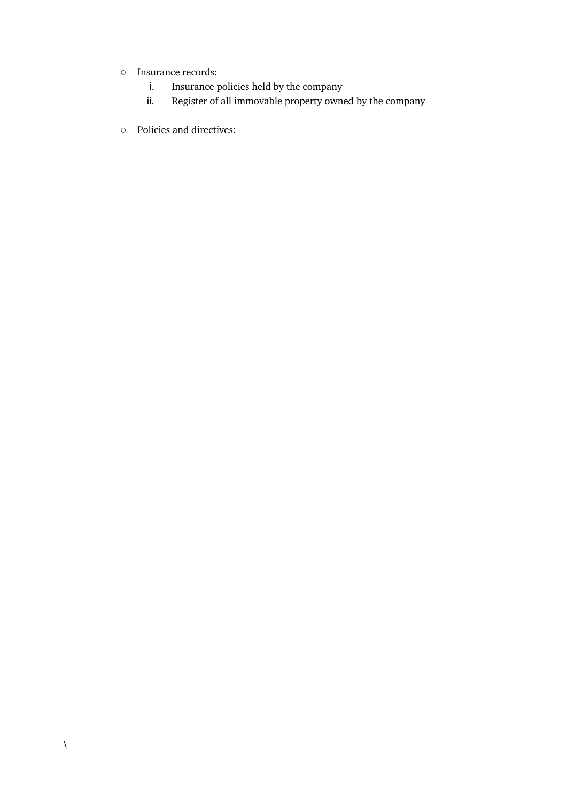- Insurance records:
	- i. Insurance policies held by the company
	- ii. Register of all immovable property owned by the company
- Policies and directives: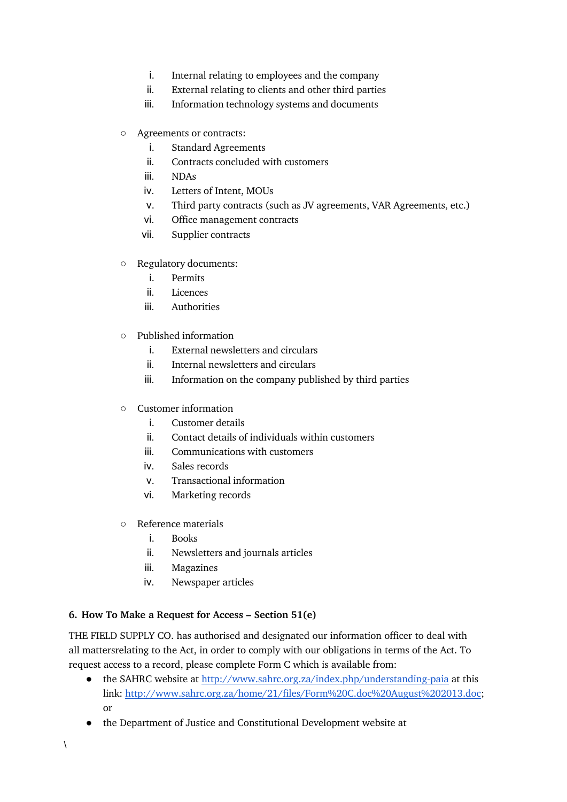- i. Internal relating to employees and the company
- ii. External relating to clients and other third parties
- iii. Information technology systems and documents
- Agreements or contracts:
	- i. Standard Agreements
	- ii. Contracts concluded with customers
	- iii. NDAs
	- iv. Letters of Intent, MOUs
	- v. Third party contracts (such as JV agreements, VAR Agreements, etc.)
	- vi. Office management contracts
	- vii. Supplier contracts
- Regulatory documents:
	- i. Permits
	- ii. Licences
	- iii. Authorities
- Published information
	- i. External newsletters and circulars
	- ii. Internal newsletters and circulars
	- iii. Information on the company published by third parties
- Customer information
	- i. Customer details
	- ii. Contact details of individuals within customers
	- iii. Communications with customers
	- iv. Sales records
	- v. Transactional information
	- vi. Marketing records
- Reference materials
	- i. Books
	- ii. Newsletters and journals articles
	- iii. Magazines
	- iv. Newspaper articles

## **6. How To Make a Request for Access – Section 51(e)**

THE FIELD SUPPLY CO. has authorised and designated our information officer to deal with all mattersrelating to the Act, in order to comply with our obligations in terms of the Act. To request access to a record, please complete Form C which is available from:

- the SAHRC website at http://www.sahrc.org.za/index.php/understanding-paia at this link: http://www.sahrc.org.za/home/21/files/Form%20C.doc%20August%202013.doc; or
- the Department of Justice and Constitutional Development website at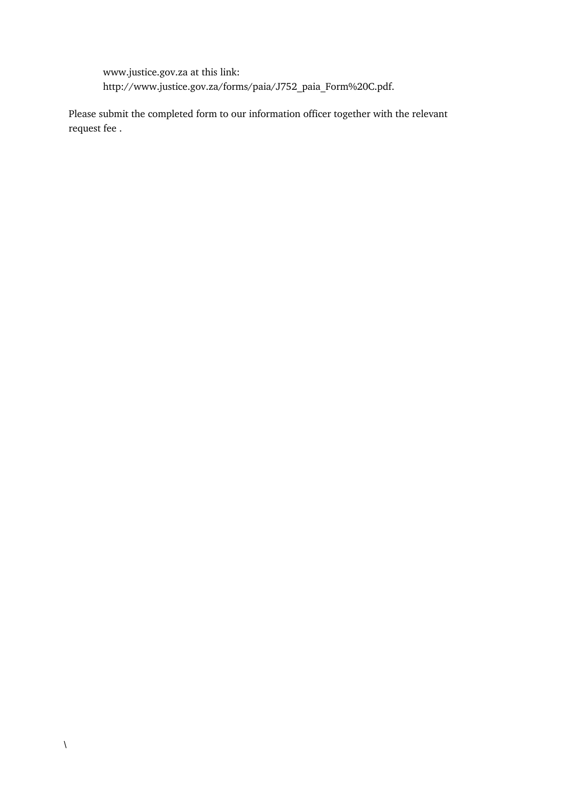www.justice.gov.za at this link: http://www.justice.gov.za/forms/paia/J752\_paia\_Form%20C.pdf.

Please submit the completed form to our information officer together with the relevant request fee .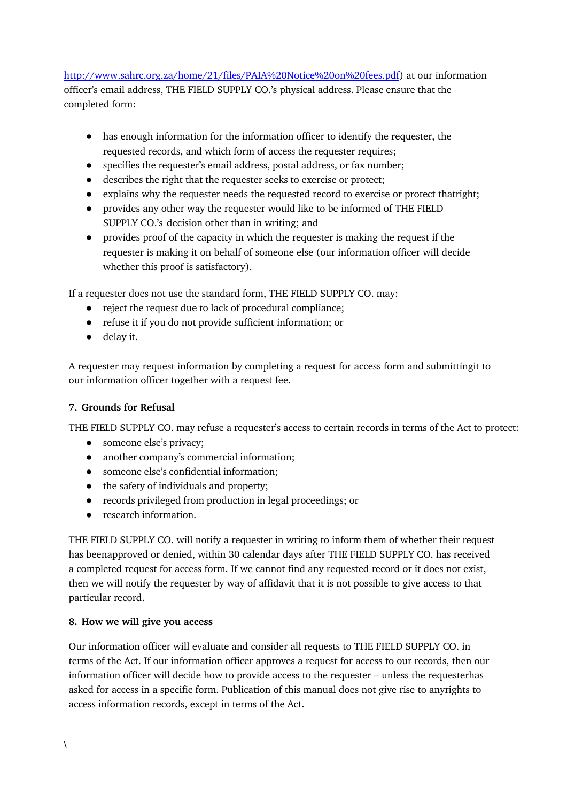http://www.sahrc.org.za/home/21/files/PAIA%20Notice%20on%20fees.pdf) at our information officer's email address, THE FIELD SUPPLY CO.'s physical address. Please ensure that the completed form:

- has enough information for the information officer to identify the requester, the requested records, and which form of access the requester requires;
- specifies the requester's email address, postal address, or fax number;
- describes the right that the requester seeks to exercise or protect;
- explains why the requester needs the requested record to exercise or protect thatright;
- provides any other way the requester would like to be informed of THE FIELD SUPPLY CO.'s decision other than in writing; and
- provides proof of the capacity in which the requester is making the request if the requester is making it on behalf of someone else (our information officer will decide whether this proof is satisfactory).

If a requester does not use the standard form, THE FIELD SUPPLY CO. may:

- reject the request due to lack of procedural compliance;
- refuse it if you do not provide sufficient information; or
- delay it.

A requester may request information by completing a request for access form and submittingit to our information officer together with a request fee.

## **7. Grounds for Refusal**

THE FIELD SUPPLY CO. may refuse a requester's access to certain records in terms of the Act to protect:

- someone else's privacy;
- another company's commercial information;
- someone else's confidential information;
- the safety of individuals and property:
- records privileged from production in legal proceedings; or
- research information.

THE FIELD SUPPLY CO. will notify a requester in writing to inform them of whether their request has beenapproved or denied, within 30 calendar days after THE FIELD SUPPLY CO. has received a completed request for access form. If we cannot find any requested record or it does not exist, then we will notify the requester by way of affidavit that it is not possible to give access to that particular record.

## **8. How we will give you access**

Our information officer will evaluate and consider all requests to THE FIELD SUPPLY CO. in terms of the Act. If our information officer approves a request for access to our records, then our information officer will decide how to provide access to the requester – unless the requesterhas asked for access in a specific form. Publication of this manual does not give rise to anyrights to access information records, except in terms of the Act.